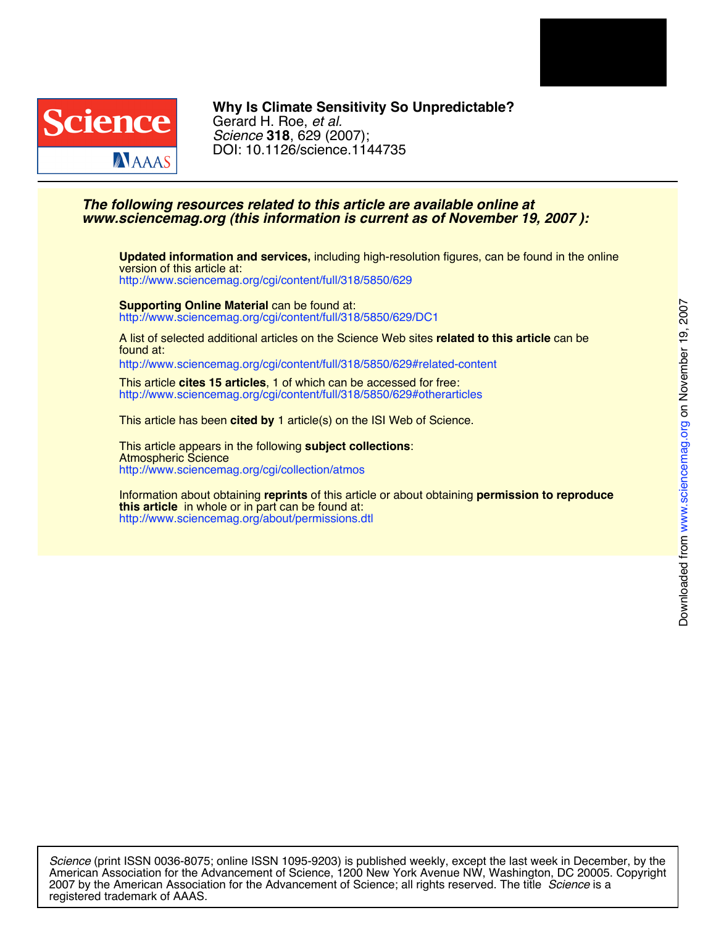



# DOI: 10.1126/science.1144735 *Science* **318**, 629 (2007); Gerard H. Roe, *et al.* **Why Is Climate Sensitivity So Unpredictable?**

# *www.sciencemag.org (this information is current as of November 19, 2007 ): The following resources related to this article are available online at*

<http://www.sciencemag.org/cgi/content/full/318/5850/629> version of this article at: **Updated information and services,** including high-resolution figures, can be found in the online

<http://www.sciencemag.org/cgi/content/full/318/5850/629/DC1> **Supporting Online Material** can be found at:

found at: A list of selected additional articles on the Science Web sites **related to this article** can be

<http://www.sciencemag.org/cgi/content/full/318/5850/629#related-content>

<http://www.sciencemag.org/cgi/content/full/318/5850/629#otherarticles> This article **cites 15 articles**, 1 of which can be accessed for free:

This article has been **cited by** 1 article(s) on the ISI Web of Science.

<http://www.sciencemag.org/cgi/collection/atmos> Atmospheric Science This article appears in the following **subject collections**:

<http://www.sciencemag.org/about/permissions.dtl> **this article** in whole or in part can be found at: Information about obtaining **reprints** of this article or about obtaining **permission to reproduce**

registered trademark of AAAS. 2007 by the American Association for the Advancement of Science; all rights reserved. The title *Science* is a American Association for the Advancement of Science, 1200 New York Avenue NW, Washington, DC 20005. Copyright *Science* (print ISSN 0036-8075; online ISSN 1095-9203) is published weekly, except the last week in December, by the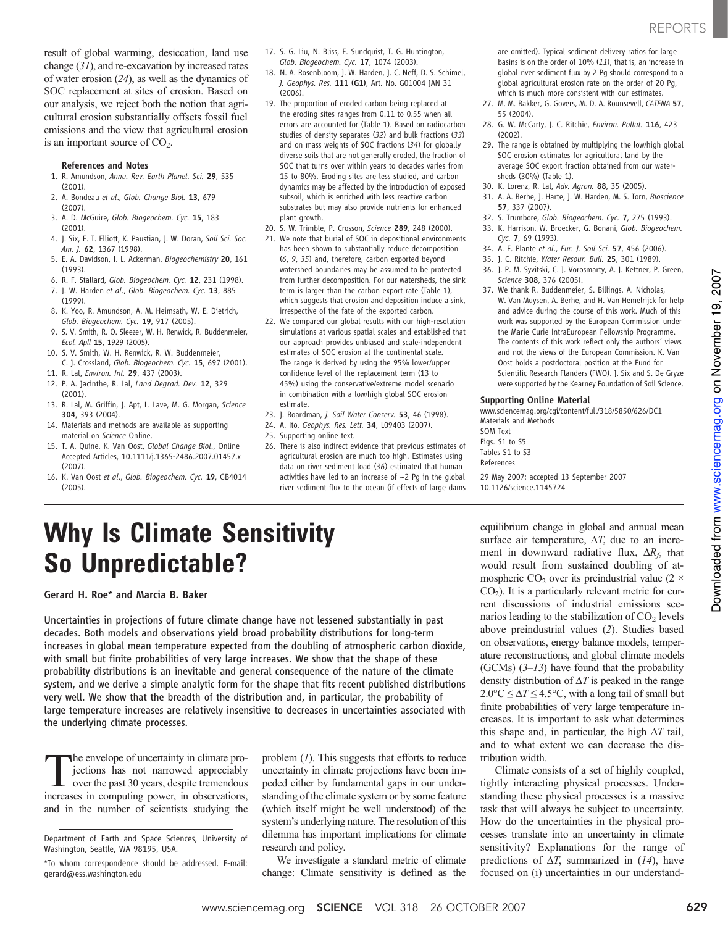result of global warming, desiccation, land use change (31), and re-excavation by increased rates of water erosion (24), as well as the dynamics of SOC replacement at sites of erosion. Based on our analysis, we reject both the notion that agricultural erosion substantially offsets fossil fuel emissions and the view that agricultural erosion is an important source of  $CO<sub>2</sub>$ .

#### References and Notes

- 1. R. Amundson, Annu. Rev. Earth Planet. Sci. 29, 535 (2001).
- 2. A. Bondeau et al., Glob. Change Biol. 13, 679 (2007).
- 3. A. D. McGuire, Glob. Biogeochem. Cyc. 15, 183 (2001).
- 4. J. Six, E. T. Elliott, K. Paustian, J. W. Doran, Soil Sci. Soc. Am. J. 62, 1367 (1998).
- 5. E. A. Davidson, I. L. Ackerman, Biogeochemistry 20, 161 (1993).
- 6. R. F. Stallard, Glob. Biogeochem. Cyc. 12, 231 (1998). 7. J. W. Harden et al., Glob. Biogeochem. Cyc. 13, 885
- (1999).
- 8. K. Yoo, R. Amundson, A. M. Heimsath, W. E. Dietrich, Glob. Biogeochem. Cyc. 19, 917 (2005).
- 9. S. V. Smith, R. O. Sleezer, W. H. Renwick, R. Buddenmeier, Ecol. Apll 15, 1929 (2005).
- 10. S. V. Smith, W. H. Renwick, R. W. Buddenmeier, C. J. Crossland, Glob. Biogeochem. Cyc. 15, 697 (2001).
- 11. R. Lal, Environ. Int. 29, 437 (2003).
- 12. P. A. Jacinthe, R. Lal, Land Degrad. Dev. 12, 329 (2001).
- 13. R. Lal, M. Griffin, J. Apt, L. Lave, M. G. Morgan, Science 304, 393 (2004).
- 14. Materials and methods are available as supporting material on Science Online.
- 15. T. A. Quine, K. Van Oost, Global Change Biol., Online Accepted Articles, 10.1111/j.1365-2486.2007.01457.x (2007).
- 16. K. Van Oost et al., Glob. Biogeochem. Cyc. 19, GB4014 (2005).
- 17. S. G. Liu, N. Bliss, E. Sundquist, T. G. Huntington, Glob. Biogeochem. Cyc. 17, 1074 (2003).
- 18. N. A. Rosenbloom, J. W. Harden, J. C. Neff, D. S. Schimel, J. Geophys. Res. 111 (G1), Art. No. G01004 JAN 31 (2006).
- 19. The proportion of eroded carbon being replaced at the eroding sites ranges from 0.11 to 0.55 when all errors are accounted for (Table 1). Based on radiocarbon studies of density separates (32) and bulk fractions (33) and on mass weights of SOC fractions (34) for globally diverse soils that are not generally eroded, the fraction of SOC that turns over within years to decades varies from 15 to 80%. Eroding sites are less studied, and carbon dynamics may be affected by the introduction of exposed subsoil, which is enriched with less reactive carbon substrates but may also provide nutrients for enhanced plant growth.
- 20. S. W. Trimble, P. Crosson, Science 289, 248 (2000).
- 21. We note that burial of SOC in depositional environments has been shown to substantially reduce decomposition (6, 9, 35) and, therefore, carbon exported beyond watershed boundaries may be assumed to be protected from further decomposition. For our watersheds, the sink term is larger than the carbon export rate (Table 1), which suggests that erosion and deposition induce a sink, irrespective of the fate of the exported carbon.
- 22. We compared our global results with our high-resolution simulations at various spatial scales and established that our approach provides unbiased and scale-independent estimates of SOC erosion at the continental scale. The range is derived by using the 95% lower/upper confidence level of the replacement term (13 to 45%) using the conservative/extreme model scenario in combination with a low/high global SOC erosion estimate.
- 23. J. Boardman, J. Soil Water Conserv. 53, 46 (1998).
- 24. A. Ito, Geophys. Res. Lett. 34, L09403 (2007).
- 25. Supporting online text.
- 26. There is also indirect evidence that previous estimates of agricultural erosion are much too high. Estimates using data on river sediment load (36) estimated that human activities have led to an increase of ~2 Pg in the global river sediment flux to the ocean (if effects of large dams

are omitted). Typical sediment delivery ratios for large basins is on the order of 10% (11), that is, an increase in global river sediment flux by 2 Pg should correspond to a global agricultural erosion rate on the order of 20 Pg, which is much more consistent with our estimates.

- 27. M. M. Bakker, G. Govers, M. D. A. Rounsevell, CATENA 57, 55 (2004).
- 28. G. W. McCarty, J. C. Ritchie, Environ. Pollut. 116, 423 (2002).
- 29. The range is obtained by multiplying the low/high global SOC erosion estimates for agricultural land by the average SOC export fraction obtained from our watersheds (30%) (Table 1).
- 30. K. Lorenz, R. Lal, Adv. Agron. 88, 35 (2005).
- 31. A. A. Berhe, J. Harte, J. W. Harden, M. S. Torn, Bioscience 57, 337 (2007).
- 32. S. Trumbore, Glob. Biogeochem. Cyc. 7, 275 (1993).
- 33. K. Harrison, W. Broecker, G. Bonani, Glob. Biogeochem. Cyc. 7, 69 (1993).
- 34. A. F. Plante et al., Eur. J. Soil Sci. 57, 456 (2006).
- 35. J. C. Ritchie, Water Resour. Bull. 25, 301 (1989).
- 36. J. P. M. Syvitski, C. J. Vorosmarty, A. J. Kettner, P. Green, Science 308, 376 (2005).
- 37. We thank R. Buddenmeier, S. Billings, A. Nicholas, W. Van Muysen, A. Berhe, and H. Van Hemelrijck for help and advice during the course of this work. Much of this work was supported by the European Commission under the Marie Curie IntraEuropean Fellowship Programme. The contents of this work reflect only the authors' views and not the views of the European Commission. K. Van Oost holds a postdoctoral position at the Fund for Scientific Research Flanders (FWO). J. Six and S. De Gryze were supported by the Kearney Foundation of Soil Science.

### Supporting Online Material

www.sciencemag.org/cgi/content/full/318/5850/626/DC1 Materials and Methods SOM Text Figs. S1 to S5 Tables S1 to S3

References

29 May 2007; accepted 13 September 2007 10.1126/science.1145724

# Why Is Climate Sensitivity So Unpredictable?

Gerard H. Roe\* and Marcia B. Baker

Uncertainties in projections of future climate change have not lessened substantially in past decades. Both models and observations yield broad probability distributions for long-term increases in global mean temperature expected from the doubling of atmospheric carbon dioxide, with small but finite probabilities of very large increases. We show that the shape of these probability distributions is an inevitable and general consequence of the nature of the climate system, and we derive a simple analytic form for the shape that fits recent published distributions very well. We show that the breadth of the distribution and, in particular, the probability of large temperature increases are relatively insensitive to decreases in uncertainties associated with the underlying climate processes.

The envelope of uncertainty in climate projections has not narrowed appreciably<br>over the past 30 years, despite tremendous<br>increases in jections has not narrowed appreciably over the past 30 years, despite tremendous increases in computing power, in observations, and in the number of scientists studying the

Department of Earth and Space Sciences, University of Washington, Seattle, WA 98195, USA.

problem (1). This suggests that efforts to reduce uncertainty in climate projections have been impeded either by fundamental gaps in our understanding of the climate system or by some feature (which itself might be well understood) of the system's underlying nature. The resolution of this dilemma has important implications for climate research and policy.

We investigate a standard metric of climate change: Climate sensitivity is defined as the equilibrium change in global and annual mean surface air temperature,  $\Delta T$ , due to an increment in downward radiative flux,  $\Delta R_f$ , that would result from sustained doubling of atmospheric CO<sub>2</sub> over its preindustrial value (2  $\times$  $CO<sub>2</sub>$ ). It is a particularly relevant metric for current discussions of industrial emissions scenarios leading to the stabilization of  $CO<sub>2</sub>$  levels above preindustrial values (2). Studies based on observations, energy balance models, temperature reconstructions, and global climate models (GCMs)  $(3-13)$  have found that the probability density distribution of  $\Delta T$  is peaked in the range  $2.0^{\circ}\text{C} \leq \Delta T \leq 4.5^{\circ}\text{C}$ , with a long tail of small but finite probabilities of very large temperature increases. It is important to ask what determines this shape and, in particular, the high  $\Delta T$  tail, and to what extent we can decrease the distribution width.

Climate consists of a set of highly coupled, tightly interacting physical processes. Understanding these physical processes is a massive task that will always be subject to uncertainty. How do the uncertainties in the physical processes translate into an uncertainty in climate sensitivity? Explanations for the range of predictions of  $\Delta T$ , summarized in (14), have focused on (i) uncertainties in our understand-

<sup>\*</sup>To whom correspondence should be addressed. E-mail: gerard@ess.washington.edu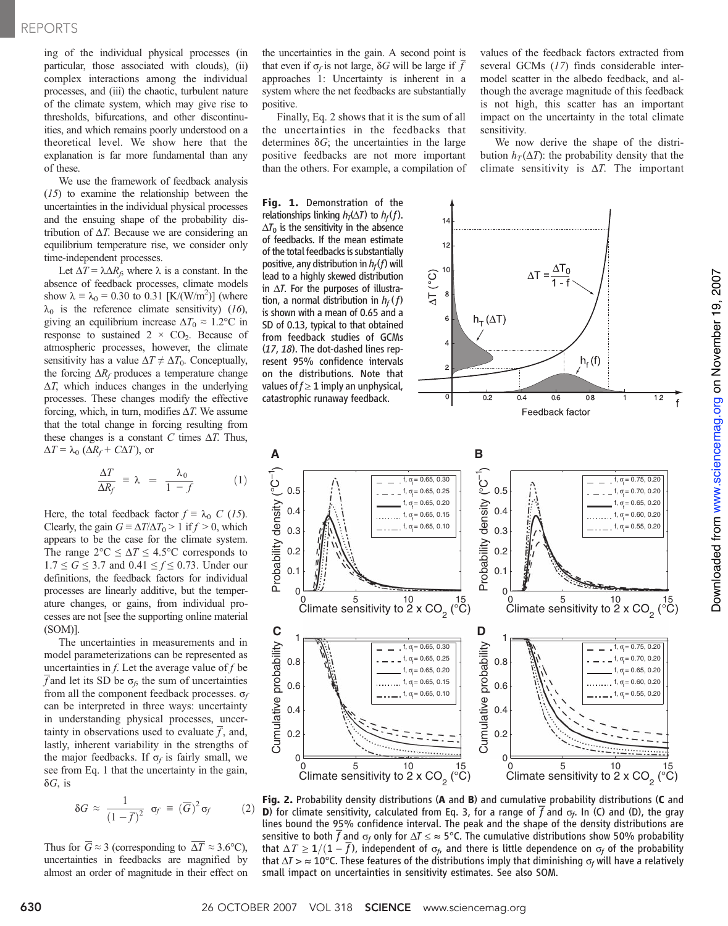## REPORTS

ing of the individual physical processes (in particular, those associated with clouds), (ii) complex interactions among the individual processes, and (iii) the chaotic, turbulent nature of the climate system, which may give rise to thresholds, bifurcations, and other discontinuities, and which remains poorly understood on a theoretical level. We show here that the explanation is far more fundamental than any of these.

We use the framework of feedback analysis (15) to examine the relationship between the uncertainties in the individual physical processes and the ensuing shape of the probability distribution of  $\Delta T$ . Because we are considering an equilibrium temperature rise, we consider only time-independent processes.

Let  $\Delta T = \lambda \Delta R_f$ , where  $\lambda$  is a constant. In the absence of feedback processes, climate models show  $\lambda = \lambda_0 = 0.30$  to 0.31 [K/(W/m<sup>2</sup>)] (where  $\lambda_0$  is the reference climate sensitivity) (16), giving an equilibrium increase  $\Delta T_0 \approx 1.2$ °C in response to sustained  $2 \times CO_2$ . Because of atmospheric processes, however, the climate sensitivity has a value  $\Delta T \neq \Delta T_0$ . Conceptually, the forcing  $\Delta R_f$  produces a temperature change  $\Delta T$ , which induces changes in the underlying processes. These changes modify the effective forcing, which, in turn, modifies  $\Delta T$ . We assume that the total change in forcing resulting from these changes is a constant C times  $\Delta T$ . Thus,  $\Delta T = \lambda_0 \left( \Delta R_f + C \Delta T \right)$ , or

$$
\frac{\Delta T}{\Delta R_f} \equiv \lambda = \frac{\lambda_0}{1 - f} \tag{1}
$$

Here, the total feedback factor  $f \equiv \lambda_0$  C (15). Clearly, the gain  $G \equiv \Delta T / \Delta T_0 > 1$  if  $f > 0$ , which appears to be the case for the climate system. The range  $2^{\circ}C \leq \Delta T \leq 4.5^{\circ}C$  corresponds to  $1.7 \le G \le 3.7$  and  $0.41 \le f \le 0.73$ . Under our definitions, the feedback factors for individual processes are linearly additive, but the temperature changes, or gains, from individual processes are not [see the supporting online material (SOM)].

The uncertainties in measurements and in model parameterizations can be represented as uncertainties in  $f$ . Let the average value of  $f$  be f and let its SD be  $\sigma_f$ , the sum of uncertainties from all the component feedback processes.  $\sigma_f$ can be interpreted in three ways: uncertainty in understanding physical processes, uncertainty in observations used to evaluate  $f$ , and, lastly, inherent variability in the strengths of the major feedbacks. If  $\sigma_f$  is fairly small, we see from Eq. 1 that the uncertainty in the gain,  $\delta G$ , is

$$
\delta G \approx \frac{1}{(1-\overline{f})^2} \sigma_f \equiv (\overline{G})^2 \sigma_f \qquad (2)
$$

Thus for  $\overline{G} \approx 3$  (corresponding to  $\overline{\Delta T} \approx 3.6$ °C), uncertainties in feedbacks are magnified by almost an order of magnitude in their effect on the uncertainties in the gain. A second point is that even if  $\sigma_f$  is not large,  $\delta G$  will be large if  $\overline{f}$ approaches 1: Uncertainty is inherent in a system where the net feedbacks are substantially positive.

Finally, Eq. 2 shows that it is the sum of all the uncertainties in the feedbacks that determines  $\delta G$ ; the uncertainties in the large positive feedbacks are not more important than the others. For example, a compilation of values of the feedback factors extracted from several GCMs (17) finds considerable intermodel scatter in the albedo feedback, and although the average magnitude of this feedback is not high, this scatter has an important impact on the uncertainty in the total climate sensitivity.

We now derive the shape of the distribution  $h_T(\Delta T)$ : the probability density that the climate sensitivity is  $\Delta T$ . The important

Fig. 1. Demonstration of the relationships linking  $h<sub>T</sub>(\Delta T)$  to  $h<sub>f</sub>(f)$ .  $\Delta T_0$  is the sensitivity in the absence of feedbacks. If the mean estimate  $12$ of the total feedbacks is substantially positive, any distribution in  $h_f(f)$  will  $\frac{\Delta T_0}{1-f}$  $\Delta T$  (°C) lead to a highly skewed distribution in  $\Delta T$ . For the purposes of illustration, a normal distribution in  $h_f(f)$ is shown with a mean of 0.65 and a  $h_T(\Delta T)$ SD of 0.13, typical to that obtained from feedback studies of GCMs (17, 18). The dot-dashed lines represent 95% confidence intervals  $h_f(f)$ on the distributions. Note that values of  $f \geq 1$  imply an unphysical,  $\overline{0}$  $\overline{02}$  $\overline{08}$ catastrophic runaway feedback.  $0.4$ 0.6  $1.2$ Feedback factor **B A** Probability density (°C<sup>-1</sup>) Probability density (°C<sup>-1</sup>) Probability density (°C<sup>-1</sup> Probability density (°C f,  $\sigma_{\!\!f}^{}\!=0.65, \, 0.30$ f, σ<sub>τ</sub> = 0.75, 0.20 0.5 0.5 f, σ f = 0.65, 0.25 f, σ<sub>f</sub> = 0.70, 0.20 f, σ f = 0.65, 0.20 f, σ<sub>τ</sub> = 0.65, 0.20 0.4 0.4 f,  $\sigma_{\!\scriptscriptstyle\rm f}=$  0.65, 0.15 f, σ<sub>f</sub> = 0.60, 0.20 f,  $\sigma_{\!\!f}^{}\!=0.65, \, 0.10$ f, σ<sub>f</sub> = 0.55, 0.20 0.3 0.3 0.2 0.2 0.1 0.1  $\Omega$  $\Omega$ 0  $5$  10  $15$ <br>Climate sensitivity to 2 x CO<sub>2</sub> ( $^{\circ}$ C) 0  $5$  10  $15$ <br>Climate sensitivity to 2 x CO<sub>2</sub> ( $^9$ C) **Cumulative probability O D** 1 1 Cumulative probability Cumulative probability Cumulative probability f, σ<sub>f</sub> = 0.65, 0.30 f, σ<sub>f</sub> = 0.75, 0.20 0.8 f, σ f = 0.65, 0.25 f, σ<sub>τ</sub> = 0.70, 0.20 0.8 f, σ<sub>f</sub> = 0.65, 0.20 f, σ<sub>f</sub> = 0.65, 0.20 f, σ f = 0.65, 0.15 0.6 f, σ<sub>f</sub> = 0.60, 0.20 0.6 f,  $\sigma_{\!\!f}^{}\!=0.65, \, 0.10$ f, σ<sub>τ</sub> = 0.55, 0.20 0.4 0.4 0.2 0.2 0 5 10 15 0  $\sqrt{2}$ 15<br>°C)  $0^{15}$   $10^{15}$   $10^{15}$   $10^{15}$   $10^{15}$   $10^{15}$   $10^{15}$   $10^{15}$   $10^{15}$   $10^{15}$   $10^{15}$   $10^{15}$   $10^{15}$   $10^{15}$   $10^{15}$   $10^{15}$   $10^{15}$   $10^{15}$   $10^{15}$   $10^{15}$   $10^{15}$   $10^{15}$   $10^{15}$   $10^{15}$   $10^{15$ Climate sensitivity to 2 x CO<sub>2</sub> (°C)

Fig. 2. Probability density distributions (A and B) and cumulative probability distributions (C and **D**) for climate sensitivity, calculated from Eq. 3, for a range of  $\overline{f}$  and  $\sigma_f$ . In (C) and (D), the gray lines bound the 95% confidence interval. The peak and the shape of the density distributions are thes bound the 93% commence interval. The peak and the shape of the density distributions are<br>sensitive to both  $\overline{f}$  and  $\sigma_f$  only for  $\Delta T \le \approx 5^{\circ}$ C. The cumulative distributions show 50% probability that  $\Delta T \ge 1/(1-\overline{f})$ , independent of  $\sigma_f$ , and there is little dependence on  $\sigma_f$  of the probability that  $\Delta T > \approx 10^{\circ}$ C. These features of the distributions imply that diminishing  $\sigma_f$  will have a relatively small impact on uncertainties in sensitivity estimates. See also SOM.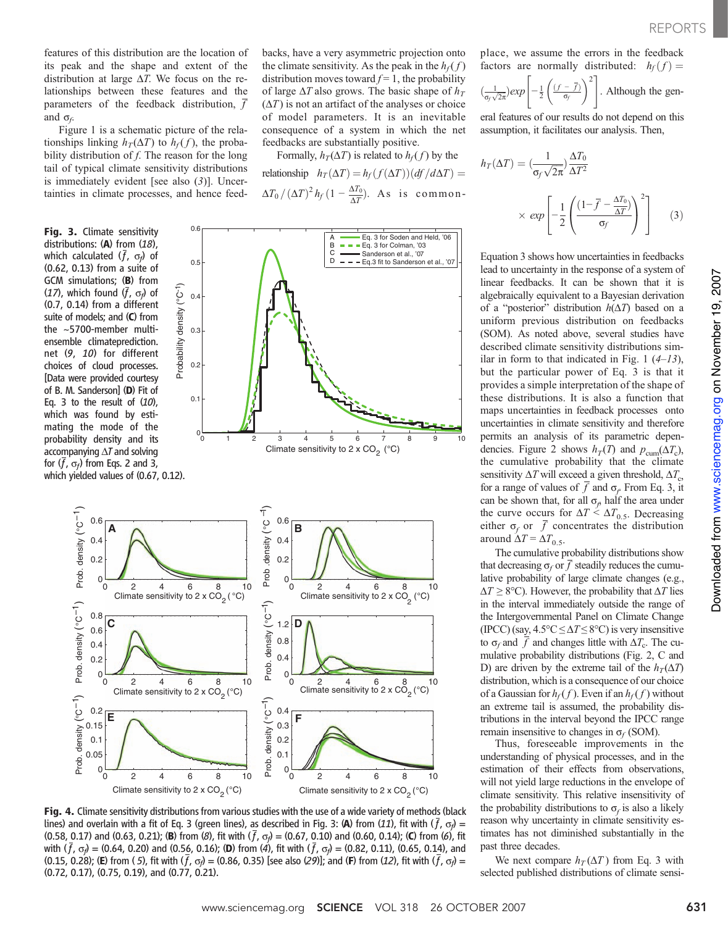features of this distribution are the location of its peak and the shape and extent of the distribution at large  $\Delta T$ . We focus on the relationships between these features and the parameters of the feedback distribution, f and  $\sigma_f$ .

Figure 1 is a schematic picture of the relationships linking  $h_T(\Delta T)$  to  $h_f(f)$ , the probability distribution of  $f$ . The reason for the long tail of typical climate sensitivity distributions is immediately evident [see also (3)]. Uncertainties in climate processes, and hence feed-

## Fig. 3. Climate sensitivity distributions: (A) from (18), which calculated  $(f, \sigma_f)$  of (0.62, 0.13) from a suite of GCM simulations; (B) from (17), which found  $(f, \sigma_f)$  of (0.7, 0.14) from a different suite of models; and (C) from the ~5700-member multiensemble climateprediction. net (9, 10) for different choices of cloud processes. [Data were provided courtesy of B. M. Sanderson] (D) Fit of Eq. 3 to the result of  $(10)$ , which was found by estimating the mode of the probability density and its accompanying  $\Delta T$  and solving for  $(f, \sigma_f)$  from Eqs. 2 and 3, which yielded values of (0.67, 0.12).

backs, have a very asymmetric projection onto the climate sensitivity. As the peak in the  $h_f(f)$ distribution moves toward  $f = 1$ , the probability of large  $\Delta T$  also grows. The basic shape of  $h_T$  $(\Delta T)$  is not an artifact of the analyses or choice of model parameters. It is an inevitable consequence of a system in which the net feedbacks are substantially positive.

Formally,  $h_T(\Delta T)$  is related to  $h_f(f)$  by the relationship  $h_T(\Delta T) = h_f(f(\Delta T))(df/d\Delta T) =$  $\Delta T_0 / \left(\Delta T\right)^2 h_f \left(1 - \frac{\Delta T_0}{\Delta T}\right)$ . As is common-





Fig. 4. Climate sensitivity distributions from various studies with the use of a wide variety of methods (black lines) and overlain with a fit of Eq. 3 (green lines), as described in Fig. 3: (A) from (11), fit with ( $\bar f$ ,  $\sigma_{\!\rho}$ ) = (0.58, 0.17) and (0.63, 0.21); (**B**) from (*8*), fit with  $(\bar{f}, \sigma_f) = (0.67, 0.10)$  and (0.60, 0.14); (**C**) from (*6*), fit with  $(f, \sigma_f)$  = (0.64, 0.20) and (0.56, 0.16); (D) from (4), fit with  $(f, \sigma_f)$  = (0.82, 0.11), (0.65, 0.14), and (0.15, 0.28); (E) from (5), fit with ( $\bar{f}$ ,  $\sigma_f$ ) = (0.86, 0.35) [see also (29)]; and (F) from (12), fit with ( $\bar{f}$ ,  $\sigma_f$ ) = (0.72, 0.17), (0.75, 0.19), and (0.77, 0.21).

place, we assume the errors in the feedback factors are normally distributed:  $h_f(f) =$ 

$$
\left(\frac{1}{\sigma_f \sqrt{2\pi}}\right) exp\left[-\frac{1}{2}\left(\frac{(f-\overline{f})}{\sigma_f}\right)^2\right].
$$
 Although the gen-

eral features of our results do not depend on this assumption, it facilitates our analysis. Then,

$$
h_T(\Delta T) = \left(\frac{1}{\sigma_f \sqrt{2\pi}}\right) \frac{\Delta T_0}{\Delta T^2}
$$

$$
\times \exp\left[-\frac{1}{2} \left(\frac{(1-\overline{f} - \frac{\Delta T_0}{\Delta T})}{\sigma_f}\right)^2\right]
$$
(3)

Equation 3 shows how uncertainties in feedbacks lead to uncertainty in the response of a system of linear feedbacks. It can be shown that it is algebraically equivalent to a Bayesian derivation of a "posterior" distribution  $h(\Delta T)$  based on a uniform previous distribution on feedbacks (SOM). As noted above, several studies have described climate sensitivity distributions similar in form to that indicated in Fig. 1  $(4-13)$ , but the particular power of Eq. 3 is that it provides a simple interpretation of the shape of these distributions. It is also a function that maps uncertainties in feedback processes onto uncertainties in climate sensitivity and therefore permits an analysis of its parametric dependencies. Figure 2 shows  $h_T(T)$  and  $p_{\text{cum}}(\Delta T_c)$ , the cumulative probability that the climate sensitivity  $\Delta T$  will exceed a given threshold,  $\Delta T_c$ , for a range of values of  $\overline{f}$  and  $\sigma_f$  From Eq. 3, it can be shown that, for all  $\sigma_f$  half the area under the curve occurs for  $\Delta T \leq \Delta T_{0.5}$ . Decreasing either  $\sigma_f$  or  $\bar{f}$  concentrates the distribution around  $\Delta T = \Delta T_{0.5}$ .

The cumulative probability distributions show that decreasing  $\sigma_f$  or  $\overline{f}$  steadily reduces the cumulative probability of large climate changes (e.g.,  $\Delta T \ge 8$ °C). However, the probability that  $\Delta T$  lies in the interval immediately outside the range of the Intergovernmental Panel on Climate Change (IPCC) (say,  $4.5^{\circ}C \leq \Delta T \leq 8^{\circ}C$ ) is very insensitive to  $\sigma_f$  and  $\bar{f}$  and changes little with  $\Delta T_c$ . The cumulative probability distributions (Fig. 2, C and D) are driven by the extreme tail of the  $h_T(\Delta T)$ distribution, which is a consequence of our choice of a Gaussian for  $h_f(f)$ . Even if an  $h_f(f)$  without an extreme tail is assumed, the probability distributions in the interval beyond the IPCC range remain insensitive to changes in  $\sigma_f$  (SOM).

Thus, foreseeable improvements in the understanding of physical processes, and in the estimation of their effects from observations, will not yield large reductions in the envelope of climate sensitivity. This relative insensitivity of the probability distributions to  $\sigma_f$  is also a likely reason why uncertainty in climate sensitivity estimates has not diminished substantially in the past three decades.

We next compare  $h_T(\Delta T)$  from Eq. 3 with selected published distributions of climate sensi-